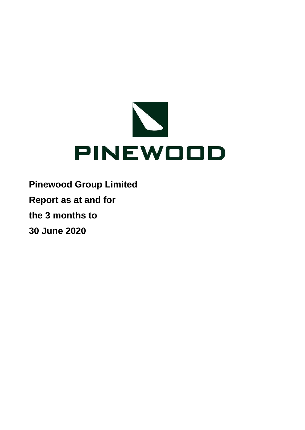

**Pinewood Group Limited Report as at and for**

**the 3 months to**

**30 June 2020**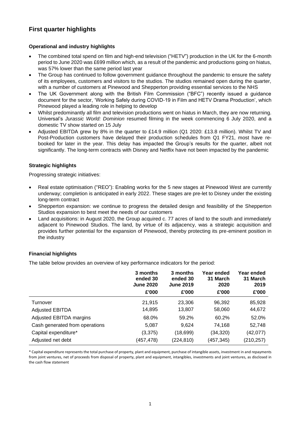## **First quarter highlights**

#### **Operational and industry highlights**

- The combined total spend on film and high-end television ("HETV") production in the UK for the 6-month period to June 2020 was £699 million which, as a result of the pandemic and productions going on hiatus, was 57% lower than the same period last year
- The Group has continued to follow government guidance throughout the pandemic to ensure the safety of its employees, customers and visitors to the studios. The studios remained open during the quarter, with a number of customers at Pinewood and Shepperton providing essential services to the NHS
- The UK Government along with the British Film Commission ("BFC") recently issued a guidance document for the sector, 'Working Safely during COVID-19 in Film and HETV Drama Production', which Pinewood played a leading role in helping to develop
- Whilst predominantly all film and television productions went on hiatus in March, they are now returning. Universal's *Jurassic World: Dominion* resumed filming in the week commencing 6 July 2020, and a domestic TV show started on 15 July
- Adjusted EBITDA grew by 8% in the quarter to £14.9 million (Q1 2020: £13.8 million). Whilst TV and Post-Production customers have delayed their production schedules from Q1 FY21, most have rebooked for later in the year. This delay has impacted the Group's results for the quarter, albeit not significantly. The long-term contracts with Disney and Netflix have not been impacted by the pandemic

#### **Strategic highlights**

Progressing strategic initiatives:

- Real estate optimisation ("REO"): Enabling works for the 5 new stages at Pinewood West are currently underway; completion is anticipated in early 2022. These stages are pre-let to Disney under the existing long-term contract
- Shepperton expansion: we continue to progress the detailed design and feasibility of the Shepperton Studios expansion to best meet the needs of our customers
- Land acquisitions: in August 2020, the Group acquired c. 77 acres of land to the south and immediately adjacent to Pinewood Studios. The land, by virtue of its adjacency, was a strategic acquisition and provides further potential for the expansion of Pinewood, thereby protecting its pre-eminent position in the industry

#### **Financial highlights**

The table below provides an overview of key performance indicators for the period:

|                                | 3 months<br>ended 30<br><b>June 2020</b><br>£'000 | 3 months<br>ended 30<br><b>June 2019</b><br>£'000 | Year ended<br>31 March<br>2020<br>£'000 | Year ended<br>31 March<br>2019<br>£'000 |
|--------------------------------|---------------------------------------------------|---------------------------------------------------|-----------------------------------------|-----------------------------------------|
| Turnover                       | 21,915                                            | 23,306                                            | 96,392                                  | 85,928                                  |
| <b>Adjusted EBITDA</b>         | 14,895                                            | 13,807                                            | 58,060                                  | 44,672                                  |
| Adjusted EBITDA margins        | 68.0%                                             | 59.2%                                             | 60.2%                                   | 52.0%                                   |
| Cash generated from operations | 5,087                                             | 9,624                                             | 74,168                                  | 52,748                                  |
| Capital expenditure*           | (3,375)                                           | (18, 699)                                         | (34,320)                                | (42,077)                                |
| Adjusted net debt              | (457, 478)                                        | (224, 810)                                        | (457, 345)                              | (210, 257)                              |

\* Capital expenditure represents the total purchase of property, plant and equipment, purchase of intangible assets, investment in and repayments from joint ventures, net of proceeds from disposal of property, plant and equipment, intangibles, investments and joint ventures, as disclosed in the cash flow statement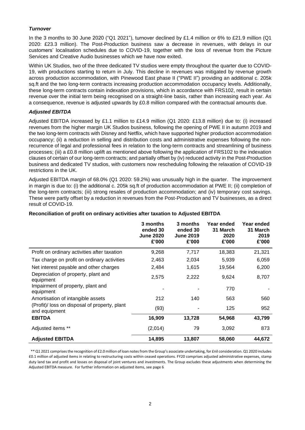#### *Turnover*

In the 3 months to 30 June 2020 ("Q1 2021"), turnover declined by £1.4 million or 6% to £21.9 million (Q1 2020: £23.3 million). The Post-Production business saw a decrease in revenues, with delays in our customers' localisation schedules due to COVID-19, together with the loss of revenue from the Picture Services and Creative Audio businesses which we have now exited.

Within UK Studios, two of the three dedicated TV studios were empty throughout the quarter due to COVID-19, with productions starting to return in July. This decline in revenues was mitigated by revenue growth across production accommodation, with Pinewood East phase II ("PWE II") providing an additional c. 205k sq.ft and the two long-term contracts increasing production accommodation occupancy levels. Additionally, these long-term contracts contain indexation provisions, which in accordance with FRS102, result in certain revenue over the initial term being recognised on a straight-line basis, rather than increasing each year. As a consequence, revenue is adjusted upwards by £0.8 million compared with the contractual amounts due.

#### *Adjusted EBITDA*

Adjusted EBITDA increased by £1.1 million to £14.9 million (Q1 2020: £13.8 million) due to: (i) increased revenues from the higher margin UK Studios business, following the opening of PWE II in autumn 2019 and the two long-term contracts with Disney and Netflix, which have supported higher production accommodation occupancy; (ii) a reduction in selling and distribution costs and administrative expenses following the nonrecurrence of legal and professional fees in relation to the long-term contracts and streamlining of business processes; (iii) a £0.8 million uplift as mentioned above following the application of FRS102 to the indexation clauses of certain of our long-term contracts; and partially offset by (iv) reduced activity in the Post-Production business and dedicated TV studios, with customers now rescheduling following the relaxation of COVID-19 restrictions in the UK.

Adjusted EBITDA margin of 68.0% (Q1 2020: 59.2%) was unusually high in the quarter. The improvement in margin is due to: (i) the additional c. 205k sq.ft of production accommodation at PWE II; (ii) completion of the long-term contracts; (iii) strong resales of production accommodation; and (iv) temporary cost savings. These were partly offset by a reduction in revenues from the Post-Production and TV businesses, as a direct result of COVID-19.

|                                                                | 3 months<br>ended 30<br><b>June 2020</b><br>£'000 | 3 months<br>ended 30<br><b>June 2019</b><br>£'000 | Year ended<br>31 March<br>2020<br>£'000 | Year ended<br>31 March<br>2019<br>£'000 |
|----------------------------------------------------------------|---------------------------------------------------|---------------------------------------------------|-----------------------------------------|-----------------------------------------|
| Profit on ordinary activities after taxation                   | 9,268                                             | 7,717                                             | 18,383                                  | 21,321                                  |
| Tax charge on profit on ordinary activities                    | 2,463                                             | 2,034                                             | 5,939                                   | 6,059                                   |
| Net interest payable and other charges                         | 2,484                                             | 1,615                                             | 19,564                                  | 6,200                                   |
| Depreciation of property, plant and<br>equipment               | 2,575                                             | 2,222                                             | 9,624                                   | 8,707                                   |
| Impairment of property, plant and<br>equipment                 |                                                   |                                                   | 770                                     |                                         |
| Amortisation of intangible assets                              | 212                                               | 140                                               | 563                                     | 560                                     |
| (Profit)/ loss on disposal of property, plant<br>and equipment | (93)                                              |                                                   | 125                                     | 952                                     |
| <b>EBITDA</b>                                                  | 16,909                                            | 13,728                                            | 54,968                                  | 43,799                                  |
| Adjusted items **                                              | (2,014)                                           | 79                                                | 3,092                                   | 873                                     |
| <b>Adjusted EBITDA</b>                                         | 14,895                                            | 13,807                                            | 58,060                                  | 44,672                                  |

#### **Reconciliation of profit on ordinary activities after taxation to Adjusted EBITDA**

 \*\* Q1 2021 comprises the recognition of £2.0 million of loan notes from the Group's associate undertaking, for £nil consideration. Q1 2020 includes £0.1 million of adjusted items in relating to restructuring costs within ceased operations. FY20 comprises adjusted administrative expenses, stamp duty land tax and profit and losses on disposal of joint ventures and investments. The Group excludes these adjustments when determining the Adjusted EBITDA measure. For further information on adjusted items, see page 6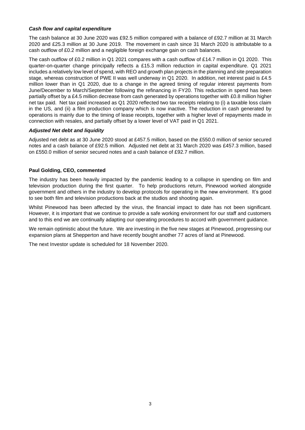#### *Cash flow and capital expenditure*

The cash balance at 30 June 2020 was £92.5 million compared with a balance of £92.7 million at 31 March 2020 and £25.3 million at 30 June 2019. The movement in cash since 31 March 2020 is attributable to a cash outflow of £0.2 million and a negligible foreign exchange gain on cash balances.

The cash outflow of £0.2 million in Q1 2021 compares with a cash outflow of £14.7 million in Q1 2020. This quarter-on-quarter change principally reflects a £15.3 million reduction in capital expenditure. Q1 2021 includes a relatively low level of spend, with REO and growth plan projects in the planning and site preparation stage, whereas construction of PWE II was well underway in Q1 2020. In addition, net interest paid is £4.5 million lower than in Q1 2020, due to a change in the agreed timing of regular interest payments from June/December to March/September following the refinancing in FY20. This reduction in spend has been partially offset by a £4.5 million decrease from cash generated by operations together with £0.8 million higher net tax paid. Net tax paid increased as Q1 2020 reflected two tax receipts relating to (i) a taxable loss claim in the US, and (ii) a film production company which is now inactive. The reduction in cash generated by operations is mainly due to the timing of lease receipts, together with a higher level of repayments made in connection with resales, and partially offset by a lower level of VAT paid in Q1 2021.

#### *Adjusted Net debt and liquidity*

Adjusted net debt as at 30 June 2020 stood at £457.5 million, based on the £550.0 million of senior secured notes and a cash balance of £92.5 million. Adjusted net debt at 31 March 2020 was £457.3 million, based on £550.0 million of senior secured notes and a cash balance of £92.7 million.

#### **Paul Golding, CEO, commented**

The industry has been heavily impacted by the pandemic leading to a collapse in spending on film and television production during the first quarter. To help productions return, Pinewood worked alongside government and others in the industry to develop protocols for operating in the new environment. It's good to see both film and television productions back at the studios and shooting again.

Whilst Pinewood has been affected by the virus, the financial impact to date has not been significant. However, it is important that we continue to provide a safe working environment for our staff and customers and to this end we are continually adapting our operating procedures to accord with government guidance.

We remain optimistic about the future. We are investing in the five new stages at Pinewood, progressing our expansion plans at Shepperton and have recently bought another 77 acres of land at Pinewood.

The next Investor update is scheduled for 18 November 2020.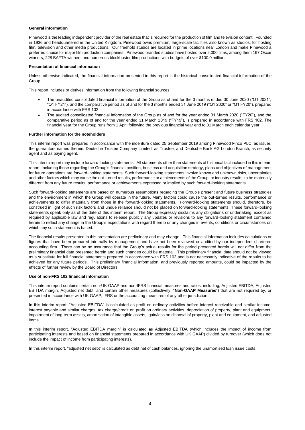#### **General information**

Pinewood is the leading independent provider of the real estate that is required for the production of film and television content. Founded in 1936 and headquartered in the United Kingdom, Pinewood owns premium, large-scale facilities also known as studios, for hosting film, television and other media productions. Our freehold studios are located in prime locations near London and make Pinewood a preferred choice for major film production companies. Pinewood branded studios have hosted over 2,000 films, among them 167 Oscar winners, 228 BAFTA winners and numerous blockbuster film productions with budgets of over \$100.0 million.

#### **Presentation of financial information**

Unless otherwise indicated, the financial information presented in this report is the historical consolidated financial information of the Group.

This report includes or derives information from the following financial sources:

- The unaudited consolidated financial information of the Group as of and for the 3 months ended 30 June 2020 ("Q1 2021", "Q1 FY21"), and the comparative period as of and for the 3 months ended 31 June 2019 ("Q1 2020" or "Q1 FY20"), prepared in accordance with FRS 102
- The audited consolidated financial information of the Group as of and for the year ended 31 March 2020 ("FY20"), and the comparative period as of and for the year ended 31 March 2019 ("FY19"), is prepared in accordance with FRS 102. The financial year for the Group runs from 1 April following the previous financial year end to 31 March each calendar year

#### **Further information for the noteholders**

This interim report was prepared in accordance with the indenture dated 25 September 2019 among Pinewood Finco PLC, as issuer, the guarantors named therein, Deutsche Trustee Company Limited, as Trustee, and Deutsche Bank AG London Branch, as security agent and as paying agent.

This interim report may include forward-looking statements. All statements other than statements of historical fact included in this interim report, including those regarding the Group's financial position, business and acquisition strategy, plans and objectives of management for future operations are forward-looking statements. Such forward-looking statements involve known and unknown risks, uncertainties and other factors which may cause the out-turned results, performance or achievements of the Group, or industry results, to be materially different from any future results, performance or achievements expressed or implied by such forward-looking statements.

Such forward-looking statements are based on numerous assumptions regarding the Group's present and future business strategies and the environment in which the Group will operate in the future. Many factors could cause the out-turned results, performance or achievements to differ materially from those in the forward-looking statements. Forward-looking statements should, therefore, be construed in light of such risk factors and undue reliance should not be placed on forward-looking statements. These forward-looking statements speak only as of the date of this interim report. The Group expressly disclaims any obligations or undertaking, except as required by applicable law and regulations to release publicly any updates or revisions to any forward-looking statement contained herein to reflect any change in the Group's expectations with regard thereto or any changes in events, conditions or circumstances on which any such statement is based.

The financial results presented in this presentation are preliminary and may change. This financial information includes calculations or figures that have been prepared internally by management and have not been reviewed or audited by our independent chartered accounting firm. There can be no assurance that the Group's actual results for the period presented herein will not differ from the preliminary financial data presented herein and such changes could be material. This preliminary financial data should not be viewed as a substitute for full financial statements prepared in accordance with FRS 102 and is not necessarily indicative of the results to be achieved for any future periods. This preliminary financial information, and previously reported amounts, could be impacted by the effects of further review by the Board of Directors.

#### **Use of non-FRS 102 financial information**

This interim report contains certain non-UK GAAP and non-IFRS financial measures and ratios, including, Adjusted EBITDA, Adjusted EBITDA margin, Adjusted net debt, and certain other measures (collectively, "**Non-GAAP Measures**") that are not required by, or presented in accordance with UK GAAP, IFRS or the accounting measures of any other jurisdiction.

In this interim report, "Adjusted EBITDA" is calculated as profit on ordinary activities before interest receivable and similar income, interest payable and similar charges, tax charge/credit on profit on ordinary activities, depreciation of property, plant and equipment, impairment of long-term assets, amortisation of intangible assets, gain/loss on disposal of property, plant and equipment, and adjusted items.

In this interim report, "Adjusted EBITDA margin" is calculated as Adjusted EBITDA (which includes the impact of income from participating interests and based on financial statements prepared in accordance with UK GAAP) divided by turnover (which does not include the impact of income from participating interests).

In this interim report, "adjusted net debt" is calculated as debt net of cash balances, ignoring the unamortised loan issue costs.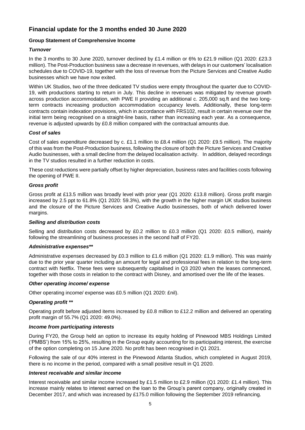## **Financial update for the 3 months ended 30 June 2020**

#### **Group Statement of Comprehensive Income**

#### *Turnover*

In the 3 months to 30 June 2020, turnover declined by £1.4 million or 6% to £21.9 million (Q1 2020: £23.3 million). The Post-Production business saw a decrease in revenues, with delays in our customers' localisation schedules due to COVID-19, together with the loss of revenue from the Picture Services and Creative Audio businesses which we have now exited.

Within UK Studios, two of the three dedicated TV studios were empty throughout the quarter due to COVID-19, with productions starting to return in July. This decline in revenues was mitigated by revenue growth across production accommodation, with PWE II providing an additional c. 205,000 sq.ft and the two longterm contracts increasing production accommodation occupancy levels. Additionally, these long-term contracts contain indexation provisions, which in accordance with FRS102, result in certain revenue over the initial term being recognised on a straight-line basis, rather than increasing each year. As a consequence, revenue is adjusted upwards by £0.8 million compared with the contractual amounts due.

#### *Cost of sales*

Cost of sales expenditure decreased by c. £1.1 million to £8.4 million (Q1 2020: £9.5 million). The majority of this was from the Post-Production business, following the closure of both the Picture Services and Creative Audio businesses, with a small decline from the delayed localisation activity. In addition, delayed recordings in the TV studios resulted in a further reduction in costs.

These cost reductions were partially offset by higher depreciation, business rates and facilities costs following the opening of PWE II.

#### *Gross profit*

Gross profit at £13.5 million was broadly level with prior year (Q1 2020: £13.8 million). Gross profit margin increased by 2.5 ppt to 61.8% (Q1 2020: 59.3%), with the growth in the higher margin UK studios business and the closure of the Picture Services and Creative Audio businesses, both of which delivered lower margins.

#### *Selling and distribution costs*

Selling and distribution costs decreased by £0.2 million to £0.3 million (Q1 2020: £0.5 million), mainly following the streamlining of business processes in the second half of FY20.

#### *Administrative expenses\*\**

Administrative expenses decreased by £0.3 million to £1.6 million (Q1 2020: £1.9 million). This was mainly due to the prior year quarter including an amount for legal and professional fees in relation to the long-term contract with Netflix. These fees were subsequently capitalised in Q3 2020 when the leases commenced, together with those costs in relation to the contract with Disney, and amortised over the life of the leases.

#### *Other operating income/ expense*

Other operating income/ expense was £0.5 million (Q1 2020: £nil).

#### *Operating profit \*\**

Operating profit before adjusted items increased by £0.8 million to £12.2 million and delivered an operating profit margin of 55.7% (Q1 2020: 49.0%).

#### *Income from participating interests*

During FY20, the Group held an option to increase its equity holding of Pinewood MBS Holdings Limited ('PMBS') from 15% to 25%, resulting in the Group equity accounting for its participating interest, the exercise of the option completing on 15 June 2020. No profit has been recognised in Q1 2021.

Following the sale of our 40% interest in the Pinewood Atlanta Studios, which completed in August 2019, there is no income in the period, compared with a small positive result in Q1 2020.

#### *Interest receivable and similar income*

Interest receivable and similar income increased by £1.5 million to £2.9 million (Q1 2020: £1.4 million). This increase mainly relates to interest earned on the loan to the Group's parent company, originally created in December 2017, and which was increased by £175.0 million following the September 2019 refinancing.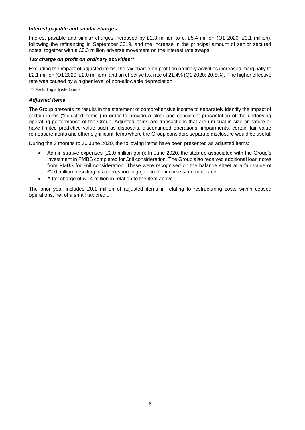#### *Interest payable and similar charges*

Interest payable and similar charges increased by £2.3 million to c. £5.4 million (Q1 2020: £3.1 million), following the refinancing in September 2019, and the increase in the principal amount of senior secured notes, together with a £0.3 million adverse movement on the interest rate swaps.

#### *Tax charge on profit on ordinary activities\*\**

Excluding the impact of adjusted items, the tax charge on profit on ordinary activities increased marginally to £2.1 million (Q1 2020: £2.0 million), and an effective tax rate of 21.4% (Q1 2020: 20.8%). The higher effective rate was caused by a higher level of non-allowable depreciation.

\*\* Excluding adjusted items

#### *Adjusted items*

The Group presents its results in the statement of comprehensive income to separately identify the impact of certain items ("adjusted items") in order to provide a clear and consistent presentation of the underlying operating performance of the Group. Adjusted items are transactions that are unusual in size or nature or have limited predictive value such as disposals, discontinued operations, impairments, certain fair value remeasurements and other significant items where the Group considers separate disclosure would be useful.

During the 3 months to 30 June 2020, the following items have been presented as adjusted items:

- Administrative expenses (£2.0 million gain): In June 2020, the step-up associated with the Group's investment in PMBS completed for £nil consideration. The Group also received additional loan notes from PMBS for £nil consideration. These were recognised on the balance sheet at a fair value of £2.0 million, resulting in a corresponding gain in the income statement; and
- A tax charge of £0.4 million in relation to the item above.

The prior year includes £0.1 million of adjusted items in relating to restructuring costs within ceased operations, net of a small tax credit.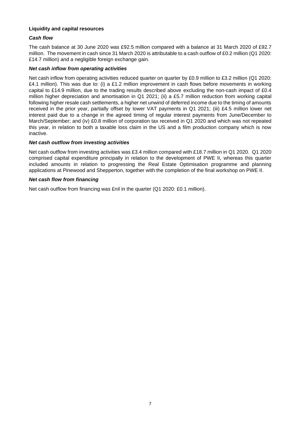#### **Liquidity and capital resources**

#### *Cash flow*

The cash balance at 30 June 2020 was £92.5 million compared with a balance at 31 March 2020 of £92.7 million. The movement in cash since 31 March 2020 is attributable to a cash outflow of £0.2 million (Q1 2020: £14.7 million) and a negligible foreign exchange gain.

#### *Net cash inflow from operating activities*

Net cash inflow from operating activities reduced quarter on quarter by £0.9 million to £3.2 million (Q1 2020: £4.1 million). This was due to: (i) a £1.2 million improvement in cash flows before movements in working capital to £14.9 million, due to the trading results described above excluding the non-cash impact of £0.4 million higher depreciation and amortisation in Q1 2021; (ii) a £5.7 million reduction from working capital following higher resale cash settlements, a higher net unwind of deferred income due to the timing of amounts received in the prior year, partially offset by lower VAT payments in Q1 2021; (iii) £4.5 million lower net interest paid due to a change in the agreed timing of regular interest payments from June/December to March/September; and (iv) £0.8 million of corporation tax received in Q1 2020 and which was not repeated this year, in relation to both a taxable loss claim in the US and a film production company which is now inactive.

#### *Net cash outflow from investing activities*

Net cash outflow from investing activities was £3.4 million compared with £18.7 million in Q1 2020. Q1 2020 comprised capital expenditure principally in relation to the development of PWE II, whereas this quarter included amounts in relation to progressing the Real Estate Optimisation programme and planning applications at Pinewood and Shepperton, together with the completion of the final workshop on PWE II.

#### *Net cash flow from financing*

Net cash outflow from financing was £nil in the quarter (Q1 2020: £0.1 million).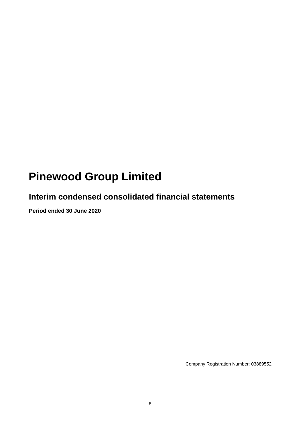# **Pinewood Group Limited**

## **Interim condensed consolidated financial statements**

**Period ended 30 June 2020**

Company Registration Number: 03889552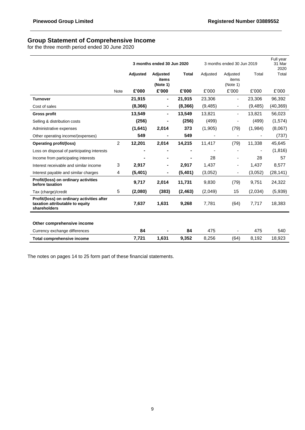### **Group Statement of Comprehensive Income**

for the three month period ended 30 June 2020

|                                                                                               |                |          | 3 months ended 30 Jun 2020    |              | 3 months ended 30 Jun 2019 |                               |          | Full year<br>31 Mar<br>2020 |
|-----------------------------------------------------------------------------------------------|----------------|----------|-------------------------------|--------------|----------------------------|-------------------------------|----------|-----------------------------|
|                                                                                               |                | Adjusted | Adjusted<br>items<br>(Note 1) | <b>Total</b> | Adjusted                   | Adjusted<br>items<br>(Note 1) | Total    | Total                       |
|                                                                                               | <b>Note</b>    | £'000    | £'000                         | £'000        | £'000                      | £'000                         | £'000    | £'000                       |
| <b>Turnover</b>                                                                               |                | 21,915   | Ξ.                            | 21,915       | 23,306                     | -                             | 23,306   | 96,392                      |
| Cost of sales                                                                                 |                | (8,366)  |                               | (8,366)      | (9, 485)                   | ۰                             | (9, 485) | (40, 369)                   |
| <b>Gross profit</b>                                                                           |                | 13,549   |                               | 13,549       | 13,821                     | $\overline{\phantom{0}}$      | 13,821   | 56,023                      |
| Selling & distribution costs                                                                  |                | (256)    |                               | (256)        | (499)                      |                               | (499)    | (1,574)                     |
| Administrative expenses                                                                       |                | (1,641)  | 2,014                         | 373          | (1,905)                    | (79)                          | (1,984)  | (8,067)                     |
| Other operating income/(expenses)                                                             |                | 549      |                               | 549          |                            | $\blacksquare$                |          | (737)                       |
| Operating profit/(loss)                                                                       | $\overline{2}$ | 12,201   | 2,014                         | 14,215       | 11,417                     | (79)                          | 11,338   | 45,645                      |
| Loss on disposal of participating interests                                                   |                |          |                               |              |                            | ٠                             |          | (1, 816)                    |
| Income from participating interests                                                           |                |          |                               |              | 28                         |                               | 28       | 57                          |
| Interest receivable and similar income                                                        | 3              | 2,917    |                               | 2,917        | 1,437                      | ۰                             | 1,437    | 8,577                       |
| Interest payable and similar charges                                                          | 4              | (5,401)  |                               | (5,401)      | (3,052)                    |                               | (3,052)  | (28, 141)                   |
| Profit/(loss) on ordinary activities<br>before taxation                                       |                | 9,717    | 2,014                         | 11,731       | 9,830                      | (79)                          | 9,751    | 24,322                      |
| Tax (charge)/credit                                                                           | 5              | (2,080)  | (383)                         | (2, 463)     | (2,049)                    | 15                            | (2,034)  | (5,939)                     |
| Profit/(loss) on ordinary activities after<br>taxation attributable to equity<br>shareholders |                | 7,637    | 1,631                         | 9,268        | 7,781                      | (64)                          | 7,717    | 18,383                      |
|                                                                                               |                |          |                               |              |                            |                               |          |                             |
| Other comprehensive income                                                                    |                |          |                               |              |                            |                               |          |                             |
| Currency exchange differences                                                                 |                | 84       |                               | 84           | 475                        |                               | 475      | 540                         |
| Total comprehensive income                                                                    |                | 7,721    | 1,631                         | 9,352        | 8,256                      | (64)                          | 8,192    | 18,923                      |

The notes on pages 14 to 25 form part of these financial statements.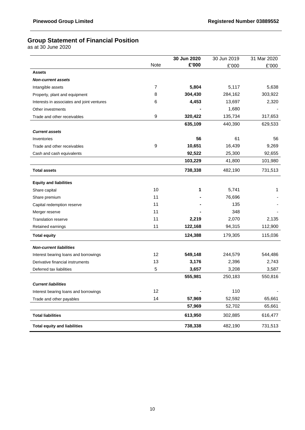## **Group Statement of Financial Position**

as at 30 June 2020

|                                            |                | 30 Jun 2020 | 30 Jun 2019 | 31 Mar 2020 |
|--------------------------------------------|----------------|-------------|-------------|-------------|
|                                            | Note           | £'000       | £'000       | £'000       |
| <b>Assets</b>                              |                |             |             |             |
| <b>Non-current assets</b>                  |                |             |             |             |
| Intangible assets                          | $\overline{7}$ | 5,804       | 5,117       | 5,638       |
| Property, plant and equipment              | 8              | 304,430     | 284,162     | 303,922     |
| Interests in associates and joint ventures | 6              | 4,453       | 13,697      | 2,320       |
| Other investments                          |                |             | 1,680       |             |
| Trade and other receivables                | 9              | 320,422     | 135,734     | 317,653     |
|                                            |                | 635,109     | 440,390     | 629,533     |
| <b>Current assets</b>                      |                |             |             |             |
| Inventories                                |                | 56          | 61          | 56          |
| Trade and other receivables                | 9              | 10,651      | 16,439      | 9,269       |
| Cash and cash equivalents                  |                | 92,522      | 25,300      | 92,655      |
|                                            |                | 103,229     | 41,800      | 101,980     |
| <b>Total assets</b>                        |                | 738,338     | 482,190     | 731,513     |
| <b>Equity and liabilities</b>              |                |             |             |             |
| Share capital                              | 10             | 1           | 5,741       | 1           |
| Share premium                              | 11             |             | 76,696      |             |
| Capital redemption reserve                 | 11             |             | 135         |             |
| Merger reserve                             | 11             |             | 348         |             |
| <b>Translation reserve</b>                 | 11             | 2,219       | 2,070       | 2,135       |
| Retained earnings                          | 11             | 122,168     | 94,315      | 112,900     |
| <b>Total equity</b>                        |                | 124,388     | 179,305     | 115,036     |
| <b>Non-current liabilities</b>             |                |             |             |             |
| Interest bearing loans and borrowings      | 12             | 549,148     | 244,579     | 544,486     |
| Derivative financial instruments           | 13             | 3,176       | 2,396       | 2,743       |
| Deferred tax liabilities                   | 5              | 3,657       | 3,208       | 3,587       |
|                                            |                | 555,981     | 250,183     | 550,816     |
| <b>Current liabilities</b>                 |                |             |             |             |
| Interest bearing loans and borrowings      | 12             |             | 110         |             |
| Trade and other payables                   | 14             | 57,969      | 52,592      | 65,661      |
|                                            |                | 57,969      | 52,702      | 65,661      |
| <b>Total liabilities</b>                   |                | 613,950     | 302,885     | 616,477     |
| <b>Total equity and liabilities</b>        |                | 738,338     | 482,190     | 731,513     |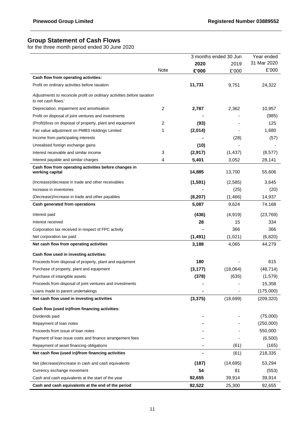## **Group Statement of Cash Flows**

for the three month period ended 30 June 2020

|                                                                                              |             |          | 3 months ended 30 Jun | Year ended  |
|----------------------------------------------------------------------------------------------|-------------|----------|-----------------------|-------------|
|                                                                                              |             | 2020     | 2019                  | 31 Mar 2020 |
|                                                                                              | <b>Note</b> | £'000    | £'000                 | £'000       |
| Cash flow from operating activities:                                                         |             |          |                       |             |
| Profit on ordinary activities before taxation                                                |             | 11,731   | 9,751                 | 24,322      |
| Adjustments to reconcile profit on ordinary activities before taxation<br>to net cash flows: |             |          |                       |             |
| Depreciation, impairment and amortisation                                                    | 2           | 2,787    | 2,362                 | 10,957      |
| Profit on disposal of joint ventures and investments                                         |             |          |                       | (985)       |
| (Profit)/loss on disposal of property, plant and equipment                                   | 2           | (93)     |                       | 125         |
| Fair value adjustment on PMBS Holdings Limited                                               | 1           | (2,014)  |                       | 1,680       |
| Income from participating interests                                                          |             |          | (28)                  | (57)        |
| Unrealised foreign exchange gains                                                            |             | (10)     |                       |             |
| Interest receivable and similar income                                                       | 3           | (2,917)  | (1, 437)              | (8, 577)    |
| Interest payable and similar charges                                                         | 4           | 5,401    | 3,052                 | 28,141      |
| Cash flow from operating activities before changes in<br>working capital                     |             | 14,885   | 13,700                | 55,606      |
| (Increase)/decrease in trade and other receivables                                           |             | (1, 591) | (2,585)               | 3,645       |
| Increase in inventories                                                                      |             |          | (25)                  | (20)        |
| (Decrease)/increase in trade and other payables                                              |             | (8, 207) | (1, 466)              | 14,937      |
| Cash generated from operations                                                               |             | 5,087    | 9,624                 | 74,168      |
|                                                                                              |             | (436)    | (4, 919)              | (23, 769)   |
| Interest paid<br>Interest received                                                           |             | 28       | 15                    | 334         |
|                                                                                              |             |          | 366                   | 366         |
| Corporation tax received in respect of FPC activity                                          |             |          |                       |             |
| Net corporation tax paid                                                                     |             | (1, 491) | (1,021)               | (6,820)     |
| Net cash flow from operating activities                                                      |             | 3,188    | 4,065                 | 44,279      |
| Cash flow used in investing activities:                                                      |             |          |                       |             |
| Proceeds from disposal of property, plant and equipment                                      |             | 180      |                       | 615         |
| Purchase of property, plant and equipment                                                    |             | (3, 177) | (18,064)              | (48, 714)   |
| Purchase of intangible assets                                                                |             | (378)    | (635)                 | (1,579)     |
| Proceeds from disposal of joint ventures and investments                                     |             |          |                       | 15,358      |
| Loans made to parent undertakings                                                            |             |          |                       | (175,000)   |
| Net cash flow used in investing activities                                                   |             | (3, 375) | (18, 699)             | (209, 320)  |
| Cash flow (used in)/from financing activities:                                               |             |          |                       |             |
| Dividends paid                                                                               |             |          |                       | (75,000)    |
| Repayment of loan notes                                                                      |             |          |                       | (250,000)   |
| Proceeds from issue of loan notes                                                            |             |          |                       | 550,000     |
| Payment of loan issue costs and finance arrangement fees                                     |             |          |                       | (6,500)     |
| Repayment of asset financing obligations                                                     |             |          | (61)                  | (165)       |
| Net cash flow (used in)/from financing activities                                            |             |          | (61)                  | 218,335     |
| Net (decrease)/increase in cash and cash equivalents                                         |             | (187)    | (14, 695)             | 53,294      |
| Currency exchange movement                                                                   |             | 54       | 81                    | (553)       |
| Cash and cash equivalents at the start of the year                                           |             | 92,655   | 39,914                | 39,914      |
| Cash and cash equivalents at the end of the period                                           |             | 92,522   | 25,300                | 92,655      |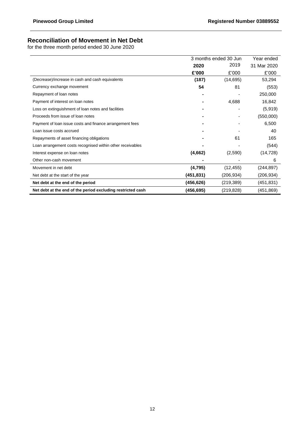## **Reconciliation of Movement in Net Debt**

for the three month period ended 30 June 2020

|                                                             | 3 months ended 30 Jun |            | Year ended  |
|-------------------------------------------------------------|-----------------------|------------|-------------|
|                                                             | 2020                  | 2019       | 31 Mar 2020 |
|                                                             | £'000                 | £'000      | £'000       |
| (Decrease)/increase in cash and cash equivalents            | (187)                 | (14, 695)  | 53,294      |
| Currency exchange movement                                  | 54                    | 81         | (553)       |
| Repayment of loan notes                                     |                       |            | 250,000     |
| Payment of interest on loan notes                           |                       | 4,688      | 16,842      |
| Loss on extinguishment of loan notes and facilities         |                       |            | (5,919)     |
| Proceeds from issue of loan notes                           |                       |            | (550,000)   |
| Payment of loan issue costs and finance arrangement fees    |                       |            | 6,500       |
| Loan issue costs accrued                                    |                       |            | 40          |
| Repayments of asset financing obligations                   |                       | 61         | 165         |
| Loan arrangement costs recognised within other receivables  |                       |            | (544)       |
| Interest expense on loan notes                              | (4,662)               | (2,590)    | (14, 728)   |
| Other non-cash movement                                     |                       |            | 6           |
| Movement in net debt                                        | (4,795)               | (12, 455)  | (244, 897)  |
| Net debt at the start of the year                           | (451,831)             | (206,934)  | (206,934)   |
| Net debt at the end of the period                           | (456,626)             | (219,389)  | (451, 831)  |
| Net debt at the end of the period excluding restricted cash | (456,695)             | (219, 828) | (451, 869)  |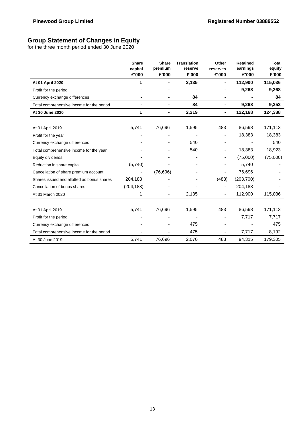## **Group Statement of Changes in Equity**

for the three month period ended 30 June 2020

|                                            | <b>Share</b><br>capital | <b>Share</b><br>premium  | <b>Translation</b><br>reserve | Other<br>reserves        | <b>Retained</b><br>earnings | <b>Total</b><br>equity |
|--------------------------------------------|-------------------------|--------------------------|-------------------------------|--------------------------|-----------------------------|------------------------|
|                                            | £'000                   | £'000                    | £'000                         | £'000                    | £'000                       | £'000                  |
| At 01 April 2020                           | 1                       |                          | 2,135                         | $\blacksquare$           | 112,900                     | 115,036                |
| Profit for the period                      |                         |                          |                               |                          | 9,268                       | 9,268                  |
| Currency exchange differences              |                         |                          | 84                            | ۰                        |                             | 84                     |
| Total comprehensive income for the period  |                         | Ξ.                       | 84                            | $\blacksquare$           | 9,268                       | 9,352                  |
| At 30 June 2020                            | 1                       |                          | 2,219                         | -                        | 122,168                     | 124,388                |
|                                            |                         |                          |                               |                          |                             |                        |
| At 01 April 2019                           | 5,741                   | 76,696                   | 1,595                         | 483                      | 86,598                      | 171,113                |
| Profit for the year                        |                         |                          |                               |                          | 18,383                      | 18,383                 |
| Currency exchange differences              |                         |                          | 540                           |                          |                             | 540                    |
| Total comprehensive income for the year    |                         |                          | 540                           | -                        | 18,383                      | 18,923                 |
| Equity dividends                           |                         |                          |                               |                          | (75,000)                    | (75,000)               |
| Reduction in share capital                 | (5,740)                 |                          |                               |                          | 5,740                       |                        |
| Cancellation of share premium account      |                         | (76, 696)                |                               |                          | 76,696                      |                        |
| Shares issued and allotted as bonus shares | 204,183                 |                          |                               | (483)                    | (203, 700)                  |                        |
| Cancellation of bonus shares               | (204, 183)              |                          |                               |                          | 204,183                     |                        |
| At 31 March 2020                           | 1                       |                          | 2,135                         | ٠                        | 112,900                     | 115,036                |
|                                            |                         |                          |                               |                          |                             |                        |
| At 01 April 2019                           | 5,741                   | 76,696                   | 1,595                         | 483                      | 86,598                      | 171,113                |
| Profit for the period                      |                         |                          |                               | ٠                        | 7,717                       | 7,717                  |
| Currency exchange differences              |                         |                          | 475                           | -                        |                             | 475                    |
| Total comprehensive income for the period  |                         | $\overline{\phantom{0}}$ | 475                           | $\overline{\phantom{0}}$ | 7,717                       | 8,192                  |
| At 30 June 2019                            | 5,741                   | 76,696                   | 2,070                         | 483                      | 94,315                      | 179,305                |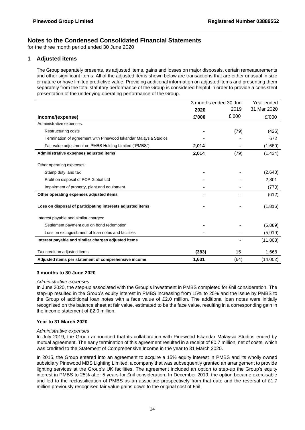for the three month period ended 30 June 2020

#### **1 Adjusted items**

The Group separately presents, as adjusted items, gains and losses on major disposals, certain remeasurements and other significant items. All of the adjusted items shown below are transactions that are either unusual in size or nature or have limited predictive value. Providing additional information on adjusted items and presenting them separately from the total statutory performance of the Group is considered helpful in order to provide a consistent presentation of the underlying operating performance of the Group.

|                                                                  | 3 months ended 30 Jun |       | Year ended  |
|------------------------------------------------------------------|-----------------------|-------|-------------|
|                                                                  | 2020                  | 2019  | 31 Mar 2020 |
| Income/(expense)                                                 | £'000                 | £'000 | £'000       |
| Administrative expenses:                                         |                       |       |             |
| Restructuring costs                                              |                       | (79)  | (426)       |
| Termination of agreement with Pinewood Iskandar Malaysia Studios |                       |       | 672         |
| Fair value adjustment on PMBS Holding Limited ("PMBS")           | 2,014                 |       | (1,680)     |
| Administrative expenses adjusted items                           | 2,014                 | (79)  | (1, 434)    |
| Other operating expenses:                                        |                       |       |             |
| Stamp duty land tax                                              |                       |       | (2,643)     |
| Profit on disposal of POP Global Ltd                             |                       |       | 2,801       |
| Impairment of property, plant and equipment                      |                       |       | (770)       |
| Other operating expenses adjusted items                          |                       |       | (612)       |
| Loss on disposal of participating interests adjusted items       |                       |       | (1, 816)    |
| Interest payable and similar charges:                            |                       |       |             |
| Settlement payment due on bond redemption                        |                       |       | (5,889)     |
| Loss on extinguishment of loan notes and facilities              |                       |       | (5,919)     |
| Interest payable and similar charges adjusted items              |                       |       | (11, 808)   |
| Tax credit on adjusted items                                     | (383)                 | 15    | 1,668       |
| Adjusted items per statement of comprehensive income             | 1,631                 | (64)  | (14,002)    |

#### **3 months to 30 June 2020**

#### *Administrative expenses*

In June 2020, the step-up associated with the Group's investment in PMBS completed for £nil consideration. The step-up resulted in the Group's equity interest in PMBS increasing from 15% to 25% and the issue by PMBS to the Group of additional loan notes with a face value of £2.0 million. The additional loan notes were initially recognised on the balance sheet at fair value, estimated to be the face value, resulting in a corresponding gain in the income statement of £2.0 million.

#### **Year to 31 March 2020**

#### *Administrative expenses*

In July 2019, the Group announced that its collaboration with Pinewood Iskandar Malaysia Studios ended by mutual agreement. The early termination of this agreement resulted in a receipt of £0.7 million, net of costs, which was credited to the Statement of Comprehensive Income in the year to 31 March 2020.

In 2015, the Group entered into an agreement to acquire a 15% equity interest in PMBS and its wholly owned subsidiary Pinewood MBS Lighting Limited, a company that was subsequently granted an arrangement to provide lighting services at the Group's UK facilities. The agreement included an option to step-up the Group's equity interest in PMBS to 25% after 5 years for £nil consideration. In December 2019, the option became exercisable and led to the reclassification of PMBS as an associate prospectively from that date and the reversal of £1.7 million previously recognised fair value gains down to the original cost of £nil.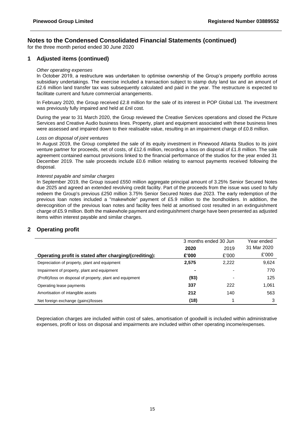for the three month period ended 30 June 2020

#### **1 Adjusted items (continued)**

#### *Other operating expenses*

In October 2019, a restructure was undertaken to optimise ownership of the Group's property portfolio across subsidiary undertakings. The exercise included a transaction subject to stamp duty land tax and an amount of £2.6 million land transfer tax was subsequently calculated and paid in the year. The restructure is expected to facilitate current and future commercial arrangements.

In February 2020, the Group received £2.8 million for the sale of its interest in POP Global Ltd. The investment was previously fully impaired and held at £nil cost.

During the year to 31 March 2020, the Group reviewed the Creative Services operations and closed the Picture Services and Creative Audio business lines. Property, plant and equipment associated with these business lines were assessed and impaired down to their realisable value, resulting in an impairment charge of £0.8 million.

#### *Loss on disposal of joint ventures*

In August 2019, the Group completed the sale of its equity investment in Pinewood Atlanta Studios to its joint venture partner for proceeds, net of costs, of £12.6 million, recording a loss on disposal of £1.8 million. The sale agreement contained earnout provisions linked to the financial performance of the studios for the year ended 31 December 2019. The sale proceeds include £0.6 million relating to earnout payments received following the disposal.

#### *Interest payable and similar charges*

In September 2019, the Group issued £550 million aggregate principal amount of 3.25% Senior Secured Notes due 2025 and agreed an extended revolving credit facility. Part of the proceeds from the issue was used to fully redeem the Group's previous £250 million 3.75% Senior Secured Notes due 2023. The early redemption of the previous loan notes included a "makewhole" payment of £5.9 million to the bondholders. In addition, the derecognition of the previous loan notes and facility fees held at amortised cost resulted in an extinguishment charge of £5.9 million. Both the makewhole payment and extinguishment charge have been presented as adjusted items within interest payable and similar charges.

#### **2 Operating profit**

|                                                            | 3 months ended 30 Jun | Year ended |             |
|------------------------------------------------------------|-----------------------|------------|-------------|
|                                                            | 2020                  | 2019       | 31 Mar 2020 |
| Operating profit is stated after charging/(crediting):     | £'000                 | £'000      | £'000       |
| Depreciation of property, plant and equipment              | 2,575                 | 2,222      | 9,624       |
| Impairment of property, plant and equipment                | $\blacksquare$        |            | 770         |
| (Profit)/loss on disposal of property, plant and equipment | (93)                  |            | 125         |
| Operating lease payments                                   | 337                   | 222        | 1,061       |
| Amortisation of intangible assets                          | 212                   | 140        | 563         |
| Net foreign exchange (gains)/losses                        | (18)                  |            | 3           |

Depreciation charges are included within cost of sales, amortisation of goodwill is included within administrative expenses, profit or loss on disposal and impairments are included within other operating income/expenses.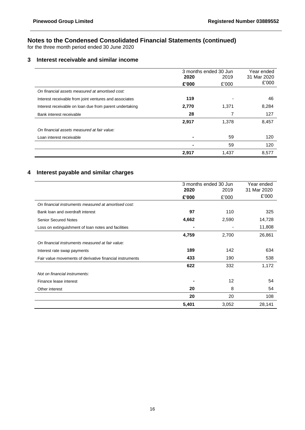for the three month period ended 30 June 2020

### **3 Interest receivable and similar income**

|                                                         |       | 3 months ended 30 Jun | Year ended  |
|---------------------------------------------------------|-------|-----------------------|-------------|
|                                                         | 2020  | 2019                  | 31 Mar 2020 |
|                                                         | £'000 | £'000                 | £'000       |
| On financial assets measured at amortised cost:         |       |                       |             |
| Interest receivable from joint ventures and associates  | 119   |                       | 46          |
| Interest receivable on loan due from parent undertaking | 2,770 | 1,371                 | 8,284       |
| Bank interest receivable                                | 28    |                       | 127         |
|                                                         | 2,917 | 1,378                 | 8,457       |
| On financial assets measured at fair value:             |       |                       |             |
| Loan interest receivable                                |       | 59                    | 120         |
|                                                         |       | 59                    | 120         |
|                                                         | 2,917 | 1.437                 | 8,577       |

## **4 Interest payable and similar charges**

|                                                          |       | 3 months ended 30 Jun | Year ended  |
|----------------------------------------------------------|-------|-----------------------|-------------|
|                                                          | 2020  | 2019                  | 31 Mar 2020 |
|                                                          | £'000 | £'000                 | £'000       |
| On financial instruments measured at amortised cost:     |       |                       |             |
| Bank loan and overdraft interest                         | 97    | 110                   | 325         |
| <b>Senior Secured Notes</b>                              | 4,662 | 2,590                 | 14,728      |
| Loss on extinguishment of loan notes and facilities      |       |                       | 11,808      |
|                                                          | 4,759 | 2,700                 | 26,861      |
| On financial instruments measured at fair value:         |       |                       |             |
| Interest rate swap payments                              | 189   | 142                   | 634         |
| Fair value movements of derivative financial instruments | 433   | 190                   | 538         |
|                                                          | 622   | 332                   | 1,172       |
| Not on financial instruments:                            |       |                       |             |
| Finance lease interest                                   |       | 12                    | 54          |
| Other interest                                           | 20    | 8                     | 54          |
|                                                          | 20    | 20                    | 108         |
|                                                          | 5,401 | 3,052                 | 28,141      |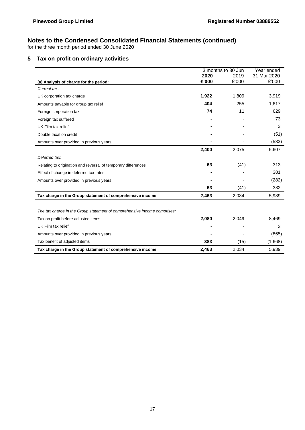for the three month period ended 30 June 2020

## **5 Tax on profit on ordinary activities**

|                                                                          |       | 3 months to 30 Jun | Year ended  |
|--------------------------------------------------------------------------|-------|--------------------|-------------|
|                                                                          | 2020  | 2019               | 31 Mar 2020 |
| (a) Analysis of charge for the period:                                   | £'000 | £'000              | £'000       |
| Current tax:                                                             |       |                    |             |
| UK corporation tax charge                                                | 1,922 | 1,809              | 3,919       |
| Amounts payable for group tax relief                                     | 404   | 255                | 1,617       |
| Foreign corporation tax                                                  | 74    | 11                 | 629         |
| Foreign tax suffered                                                     |       |                    | 73          |
| UK Film tax relief                                                       |       |                    | 3           |
| Double taxation credit                                                   |       |                    | (51)        |
| Amounts over provided in previous years                                  |       |                    | (583)       |
|                                                                          | 2,400 | 2,075              | 5,607       |
| Deferred tax:                                                            |       |                    |             |
| Relating to origination and reversal of temporary differences            | 63    | (41)               | 313         |
| Effect of change in deferred tax rates                                   |       |                    | 301         |
| Amounts over provided in previous years                                  |       |                    | (282)       |
|                                                                          | 63    | (41)               | 332         |
| Tax charge in the Group statement of comprehensive income                | 2,463 | 2,034              | 5,939       |
|                                                                          |       |                    |             |
| The tax charge in the Group statement of comprehensive income comprises: |       |                    |             |
| Tax on profit before adjusted items                                      | 2,080 | 2,049              | 8,469       |
| UK Film tax relief                                                       |       |                    | 3           |
| Amounts over provided in previous years                                  |       |                    | (865)       |
| Tax benefit of adjusted items                                            | 383   | (15)               | (1,668)     |
| Tax charge in the Group statement of comprehensive income                | 2,463 | 2,034              | 5,939       |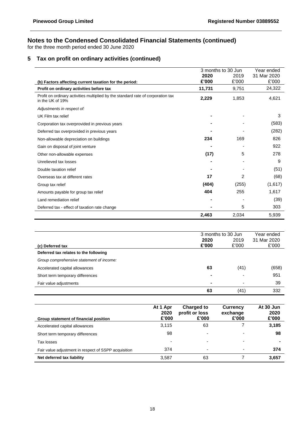for the three month period ended 30 June 2020

## **5 Tax on profit on ordinary activities (continued)**

|                                                                                                      | 3 months to 30 Jun |       | Year ended  |
|------------------------------------------------------------------------------------------------------|--------------------|-------|-------------|
|                                                                                                      | 2020               | 2019  | 31 Mar 2020 |
| (b) Factors affecting current taxation for the period:                                               | £'000              | £'000 | £'000       |
| Profit on ordinary activities before tax                                                             | 11,731             | 9,751 | 24,322      |
| Profit on ordinary activities multiplied by the standard rate of corporation tax<br>in the UK of 19% | 2,229              | 1,853 | 4,621       |
| Adjustments in respect of:                                                                           |                    |       |             |
| UK Film tax relief                                                                                   |                    |       | 3           |
| Corporation tax overprovided in previous years                                                       |                    |       | (583)       |
| Deferred tax overprovided in previous years                                                          |                    |       | (282)       |
| Non-allowable depreciation on buildings                                                              | 234                | 169   | 826         |
| Gain on disposal of joint venture                                                                    |                    |       | 922         |
| Other non-allowable expenses                                                                         | (17)               | 5     | 278         |
| Unrelieved tax losses                                                                                |                    |       | 9           |
| Double taxation relief                                                                               |                    |       | (51)        |
| Overseas tax at different rates                                                                      | 17                 | 2     | (68)        |
| Group tax relief                                                                                     | (404)              | (255) | (1,617)     |
| Amounts payable for group tax relief                                                                 | 404                | 255   | 1,617       |
| Land remediation relief                                                                              |                    |       | (39)        |
| Deferred tax - effect of taxation rate change                                                        |                    | 5     | 303         |
|                                                                                                      | 2,463              | 2,034 | 5,939       |

|                                          |       | 3 months to 30 Jun | Year ended  |  |
|------------------------------------------|-------|--------------------|-------------|--|
|                                          | 2020  | 2019               | 31 Mar 2020 |  |
| (c) Deferred tax                         | £'000 | £'000              | £'000       |  |
| Deferred tax relates to the following    |       |                    |             |  |
| Group comprehensive statement of income: |       |                    |             |  |
| Accelerated capital allowances           | 63    | (41)               | (658)       |  |
| Short term temporary differences         | -     | ٠                  | 951         |  |
| Fair value adjustments                   | -     |                    | 39          |  |
|                                          | 63    | (41)               | 332         |  |

| Group statement of financial position                | At 1 Apr<br>2020<br>£'000 | <b>Charged to</b><br>profit or loss<br>£'000 | <b>Currency</b><br>exchange<br>£'000 | At 30 Jun<br>2020<br>£'000 |
|------------------------------------------------------|---------------------------|----------------------------------------------|--------------------------------------|----------------------------|
| Accelerated capital allowances                       | 3,115                     | 63                                           |                                      | 3,185                      |
| Short term temporary differences                     | 98                        |                                              |                                      | 98                         |
| Tax losses                                           | $\overline{\phantom{0}}$  | -                                            |                                      | $\blacksquare$             |
| Fair value adjustment in respect of SSPP acquisition | 374                       | $\blacksquare$                               |                                      | 374                        |
| Net deferred tax liability                           | 3,587                     | 63                                           |                                      | 3,657                      |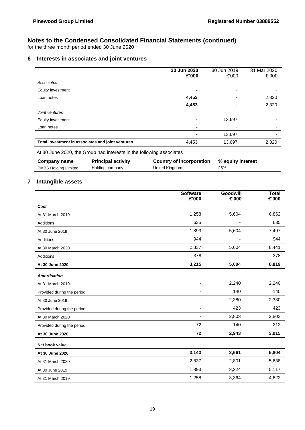for the three month period ended 30 June 2020

## **6 Interests in associates and joint ventures**

|                                                   | 30 Jun 2020<br>£'000 | 30 Jun 2019<br>£'000 | 31 Mar 2020<br>£'000     |
|---------------------------------------------------|----------------------|----------------------|--------------------------|
| Associates                                        |                      |                      |                          |
| Equity investment                                 | $\blacksquare$       | ۰                    |                          |
| Loan notes                                        | 4,453                |                      | 2,320                    |
|                                                   | 4,453                |                      | 2,320                    |
| Joint ventures                                    |                      |                      |                          |
| Equity investment                                 | $\blacksquare$       | 13,697               |                          |
| Loan notes                                        | $\blacksquare$       |                      | $\overline{\phantom{0}}$ |
|                                                   |                      | 13,697               |                          |
| Total investment in associates and joint ventures | 4,453                | 13,697               | 2,320                    |

At 30 June 2020, the Group had interests in the following associates

| Company name                | <b>Principal activity</b> | Country of incorporation | % equity interest |
|-----------------------------|---------------------------|--------------------------|-------------------|
| <b>PMBS Holding Limited</b> | Holding company           | United Kingdom           | 25%               |

### **7 Intangible assets**

|                            | <b>Software</b><br>£'000 | Goodwill<br>£'000 | <b>Total</b><br>£'000 |
|----------------------------|--------------------------|-------------------|-----------------------|
| Cost                       |                          |                   |                       |
| At 31 March 2019           | 1,258                    | 5,604             | 6,862                 |
| <b>Additions</b>           | 635                      |                   | 635                   |
| At 30 June 2019            | 1,893                    | 5,604             | 7,497                 |
| <b>Additions</b>           | 944                      |                   | 944                   |
| At 30 March 2020           | 2,837                    | 5,604             | 8,441                 |
| <b>Additions</b>           | 378                      |                   | 378                   |
| At 30 June 2020            | 3,215                    | 5,604             | 8,819                 |
| <b>Amortisation</b>        |                          |                   |                       |
| At 31 March 2019           |                          | 2,240             | 2,240                 |
| Provided during the period |                          | 140               | 140                   |
| At 30 June 2019            |                          | 2,380             | 2,380                 |
| Provided during the period | $\overline{\phantom{a}}$ | 423               | 423                   |
| At 30 March 2020           |                          | 2,803             | 2,803                 |
| Provided during the period | 72                       | 140               | 212                   |
| At 30 June 2020            | 72                       | 2,943             | 3,015                 |
| Net book value             |                          |                   |                       |
| At 30 June 2020            | 3,143                    | 2,661             | 5,804                 |
| At 31 March 2020           | 2,837                    | 2,801             | 5,638                 |
| At 30 June 2019            | 1,893                    | 3,224             | 5,117                 |
| At 31 March 2019           | 1,258                    | 3,364             | 4,622                 |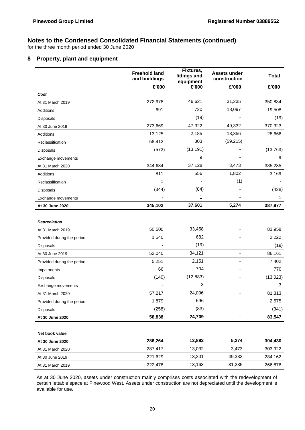for the three month period ended 30 June 2020

#### **8 Property, plant and equipment**

|                            | <b>Freehold land</b><br>and buildings | Fixtures,<br>fittings and<br>equipment | <b>Assets under</b><br>construction | <b>Total</b> |
|----------------------------|---------------------------------------|----------------------------------------|-------------------------------------|--------------|
|                            | £'000                                 | £'000                                  | £'000                               | £'000        |
| Cost                       |                                       |                                        |                                     |              |
| At 31 March 2019           | 272,978                               | 46,621                                 | 31,235                              | 350,834      |
| Additions                  | 691                                   | 720                                    | 18,097                              | 19,508       |
| Disposals                  |                                       | (19)                                   |                                     | (19)         |
| At 30 June 2019            | 273,669                               | 47,322                                 | 49,332                              | 370,323      |
| Additions                  | 13,125                                | 2,185                                  | 13,356                              | 28,666       |
| Reclassification           | 58,412                                | 803                                    | (59, 215)                           |              |
| <b>Disposals</b>           | (572)                                 | (13, 191)                              |                                     | (13, 763)    |
| Exchange movements         |                                       | 9                                      |                                     | 9            |
| At 31 March 2020           | 344,634                               | 37,128                                 | 3,473                               | 385,235      |
| Additions                  | 811                                   | 556                                    | 1,802                               | 3,169        |
| Reclassification           | 1                                     |                                        | (1)                                 |              |
| Disposals                  | (344)                                 | (84)                                   |                                     | (428)        |
| Exchange movements         |                                       | 1                                      |                                     | 1            |
| At 30 June 2020            | 345,102                               | 37,601                                 | 5,274                               | 387,977      |
|                            |                                       |                                        |                                     |              |
| <b>Depreciation</b>        |                                       |                                        |                                     |              |
| At 31 March 2019           | 50,500                                | 33,458                                 |                                     | 83,958       |
| Provided during the period | 1,540                                 | 682                                    |                                     | 2,222        |
| Disposals                  |                                       | (19)                                   |                                     | (19)         |
| At 30 June 2019            | 52,040                                | 34,121                                 | $\overline{\phantom{0}}$            | 86,161       |
| Provided during the period | 5,251                                 | 2,151                                  |                                     | 7,402        |
| Impairments                | 66                                    | 704                                    |                                     | 770          |
| <b>Disposals</b>           | (140)                                 | (12, 883)                              |                                     | (13,023)     |
| Exchange movements         |                                       | 3                                      |                                     | 3            |
| At 31 March 2020           | 57,217                                | 24,096                                 | $\qquad \qquad \blacksquare$        | 81,313       |
| Provided during the period | 1,879                                 | 696                                    |                                     | 2,575        |
| <b>Disposals</b>           | (258)                                 | (83)                                   |                                     | (341)        |
| At 30 June 2020            | 58,838                                | 24,709                                 | $\blacksquare$                      | 83,547       |
|                            |                                       |                                        |                                     |              |
| Net book value             |                                       |                                        |                                     |              |
| At 30 June 2020            | 286,264                               | 12,892                                 | 5,274                               | 304,430      |
| At 31 March 2020           | 287,417                               | 13,032                                 | 3,473                               | 303,922      |
| At 30 June 2019            | 221,629                               | 13,201                                 | 49,332                              | 284,162      |
| At 31 March 2019           | 222,478                               | 13,163                                 | 31,235                              | 266,876      |

As at 30 June 2020, assets under construction mainly comprises costs associated with the redevelopment of certain lettable space at Pinewood West. Assets under construction are not depreciated until the development is available for use.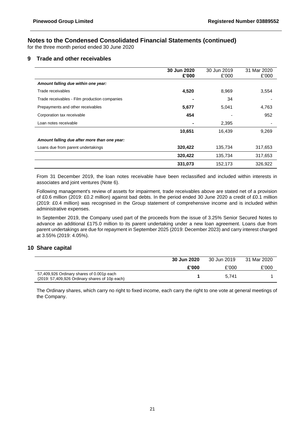for the three month period ended 30 June 2020

#### **9 Trade and other receivables**

|                                               | 30 Jun 2020<br>£'000 | 30 Jun 2019<br>£'000 | 31 Mar 2020<br>£'000 |
|-----------------------------------------------|----------------------|----------------------|----------------------|
| Amount falling due within one year:           |                      |                      |                      |
| Trade receivables                             | 4,520                | 8,969                | 3,554                |
| Trade receivables - Film production companies |                      | 34                   |                      |
| Prepayments and other receivables             | 5,677                | 5,041                | 4,763                |
| Corporation tax receivable                    | 454                  |                      | 952                  |
| Loan notes receivable                         |                      | 2,395                |                      |
|                                               | 10,651               | 16.439               | 9,269                |
| Amount falling due after more than one year:  |                      |                      |                      |
| Loans due from parent undertakings            | 320,422              | 135,734              | 317,653              |
|                                               | 320,422              | 135,734              | 317,653              |
|                                               | 331,073              | 152,173              | 326,922              |

From 31 December 2019, the loan notes receivable have been reclassified and included within interests in associates and joint ventures (Note 6).

Following management's review of assets for impairment, trade receivables above are stated net of a provision of £0.6 million (2019: £0.2 million) against bad debts. In the period ended 30 June 2020 a credit of £0.1 million (2019: £0.4 million) was recognised in the Group statement of comprehensive income and is included within administrative expenses.

In September 2019, the Company used part of the proceeds from the issue of 3.25% Senior Secured Notes to advance an additional £175.0 million to its parent undertaking under a new loan agreement. Loans due from parent undertakings are due for repayment in September 2025 (2019: December 2023) and carry interest charged at 3.55% (2019: 4.05%).

#### **10 Share capital**

|                                                                                             | 30 Jun 2020 | 30 Jun 2019 | 31 Mar 2020 |
|---------------------------------------------------------------------------------------------|-------------|-------------|-------------|
|                                                                                             | £'000       | £'000       | £'000       |
| 57,409,926 Ordinary shares of 0.001p each<br>(2019: 57,409,926 Ordinary shares of 10p each) |             | 5.741       |             |

The Ordinary shares, which carry no right to fixed income, each carry the right to one vote at general meetings of the Company.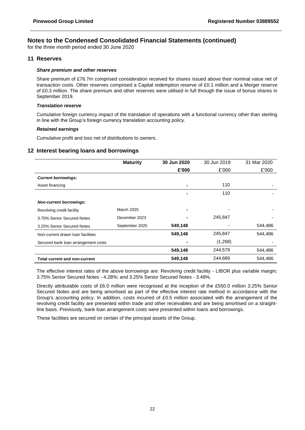for the three month period ended 30 June 2020

#### **11 Reserves**

#### *Share premium and other reserves*

Share premium of £76.7m comprised consideration received for shares issued above their nominal value net of transaction costs. Other reserves comprised a Capital redemption reserve of £0.1 million and a Merger reserve of £0.3 million. The share premium and other reserves were utilised in full through the issue of bonus shares in September 2019.

#### *Translation reserve*

Cumulative foreign currency impact of the translation of operations with a functional currency other than sterling in line with the Group's foreign currency translation accounting policy.

#### *Retained earnings*

Cumulative profit and loss net of distributions to owners.

#### **12 Interest bearing loans and borrowings**

|                                      | <b>Maturity</b> | 30 Jun 2020 | 30 Jun 2019 | 31 Mar 2020 |
|--------------------------------------|-----------------|-------------|-------------|-------------|
|                                      |                 | £'000       | £'000       | £'000       |
| <b>Current borrowings:</b>           |                 |             |             |             |
| Asset financing                      |                 |             | 110         |             |
|                                      |                 |             | 110         |             |
| <b>Non-current borrowings:</b>       |                 |             |             |             |
| Revolving credit facility            | March 2025      |             |             |             |
| 3.75% Senior Secured Notes           | December 2023   |             | 245,847     |             |
| 3.25% Senior Secured Notes           | September 2025  | 549,148     |             | 544,486     |
| Non-current drawn loan facilities    |                 | 549,148     | 245,847     | 544,486     |
| Secured bank loan arrangement costs  |                 |             | (1,268)     |             |
|                                      |                 | 549,148     | 244,579     | 544,486     |
| <b>Total current and non-current</b> |                 | 549,148     | 244,689     | 544,486     |

The effective interest rates of the above borrowings are: Revolving credit facility - LIBOR plus variable margin; 3.75% Senior Secured Notes - 4.28%; and 3.25% Senior Secured Notes - 3.48%.

Directly attributable costs of £6.0 million were recognised at the inception of the £550.0 million 3.25% Senior Secured Notes and are being amortised as part of the effective interest rate method in accordance with the Group's accounting policy. In addition, costs incurred of £0.5 million associated with the arrangement of the revolving credit facility are presented within trade and other receivables and are being amortised on a straightline basis. Previously, bank loan arrangement costs were presented within loans and borrowings.

These facilities are secured on certain of the principal assets of the Group.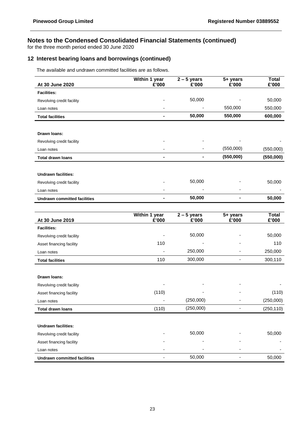for the three month period ended 30 June 2020

## **12 Interest bearing loans and borrowings (continued)**

The available and undrawn committed facilities are as follows.

|                                     | Within 1 year | $2 - 5$ years | 5+ years  | <b>Total</b> |
|-------------------------------------|---------------|---------------|-----------|--------------|
| At 30 June 2020                     | £'000         | £'000         | £'000     | £'000        |
| <b>Facilities:</b>                  |               |               |           |              |
| Revolving credit facility           |               | 50,000        |           | 50,000       |
| Loan notes                          |               | ٠             | 550,000   | 550,000      |
| <b>Total facilities</b>             |               | 50,000        | 550,000   | 600,000      |
|                                     |               |               |           |              |
| Drawn Ioans:                        |               |               |           |              |
| Revolving credit facility           |               | ٠             | -         |              |
| Loan notes                          |               | ٠             | (550,000) | (550,000)    |
| <b>Total drawn loans</b>            |               |               | (550,000) | (550,000)    |
|                                     |               |               |           |              |
| <b>Undrawn facilities:</b>          |               |               |           |              |
| Revolving credit facility           |               | 50,000        |           | 50,000       |
| Loan notes                          |               |               |           |              |
| <b>Undrawn committed facilities</b> |               | 50,000        |           | 50,000       |

| At 30 June 2019                     | Within 1 year<br>£'000 | $2 - 5$ years<br>£'000 | 5+ years<br>£'000 | <b>Total</b><br>£'000 |
|-------------------------------------|------------------------|------------------------|-------------------|-----------------------|
| <b>Facilities:</b>                  |                        |                        |                   |                       |
| Revolving credit facility           |                        | 50,000                 |                   | 50,000                |
| Asset financing facility            | 110                    |                        |                   | 110                   |
| Loan notes                          |                        | 250,000                |                   | 250,000               |
| <b>Total facilities</b>             | 110                    | 300,000                |                   | 300,110               |
|                                     |                        |                        |                   |                       |
| Drawn Ioans:                        |                        |                        |                   |                       |
| Revolving credit facility           |                        |                        |                   |                       |
| Asset financing facility            | (110)                  |                        |                   | (110)                 |
| Loan notes                          |                        | (250,000)              |                   | (250,000)             |
| <b>Total drawn loans</b>            | (110)                  | (250,000)              |                   | (250, 110)            |
|                                     |                        |                        |                   |                       |
| <b>Undrawn facilities:</b>          |                        |                        |                   |                       |
| Revolving credit facility           |                        | 50,000                 |                   | 50,000                |
| Asset financing facility            |                        |                        |                   |                       |
| Loan notes                          |                        |                        |                   |                       |
| <b>Undrawn committed facilities</b> |                        | 50,000                 |                   | 50,000                |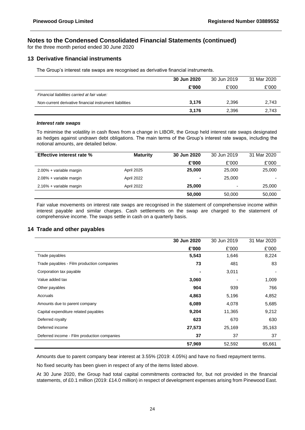for the three month period ended 30 June 2020

#### **13 Derivative financial instruments**

The Group's interest rate swaps are recognised as derivative financial instruments.

|                                                         | 30 Jun 2020 | 30 Jun 2019 | 31 Mar 2020 |
|---------------------------------------------------------|-------------|-------------|-------------|
|                                                         | £'000       | £'000       | £'000       |
| Financial liabilities carried at fair value:            |             |             |             |
| Non-current derivative financial instrument liabilities | 3.176       | 2,396       | 2,743       |
|                                                         | 3,176       | 2,396       | 2,743       |

#### *Interest rate swaps*

To minimise the volatility in cash flows from a change in LIBOR, the Group held interest rate swaps designated as hedges against undrawn debt obligations. The main terms of the Group's interest rate swaps, including the notional amounts, are detailed below.

| <b>Effective interest rate %</b> | <b>Maturity</b> | 30 Jun 2020    | 30 Jun 2019              | 31 Mar 2020 |
|----------------------------------|-----------------|----------------|--------------------------|-------------|
|                                  |                 | £'000          | £'000                    | £'000       |
| 2.00% + variable margin          | April 2025      | 25,000         | 25,000                   | 25,000      |
| 2.08% + variable margin          | April 2022      | $\blacksquare$ | 25,000                   | -           |
| 2.16% + variable margin          | April 2022      | 25,000         | $\overline{\phantom{0}}$ | 25,000      |
|                                  |                 | 50,000         | 50,000                   | 50,000      |

Fair value movements on interest rate swaps are recognised in the statement of comprehensive income within interest payable and similar charges. Cash settlements on the swap are charged to the statement of comprehensive income. The swaps settle in cash on a quarterly basis.

#### **14 Trade and other payables**

|                                             | 30 Jun 2020 | 30 Jun 2019 | 31 Mar 2020 |
|---------------------------------------------|-------------|-------------|-------------|
|                                             | £'000       | £'000       | £'000       |
| Trade payables                              | 5,543       | 1,646       | 8,224       |
| Trade payables - Film production companies  | 73          | 481         | 83          |
| Corporation tax payable                     |             | 3,011       |             |
| Value added tax                             | 3,060       |             | 1,009       |
| Other payables                              | 904         | 939         | 766         |
| Accruals                                    | 4,863       | 5,196       | 4,852       |
| Amounts due to parent company               | 6,089       | 4,078       | 5,685       |
| Capital expenditure related payables        | 9,204       | 11,365      | 9,212       |
| Deferred royalty                            | 623         | 670         | 630         |
| Deferred income                             | 27,573      | 25,169      | 35,163      |
| Deferred income - Film production companies | 37          | 37          | 37          |
|                                             | 57,969      | 52,592      | 65,661      |

Amounts due to parent company bear interest at 3.55% (2019: 4.05%) and have no fixed repayment terms.

No fixed security has been given in respect of any of the items listed above.

At 30 June 2020, the Group had total capital commitments contracted for, but not provided in the financial statements, of £0.1 million (2019: £14.0 million) in respect of development expenses arising from Pinewood East.